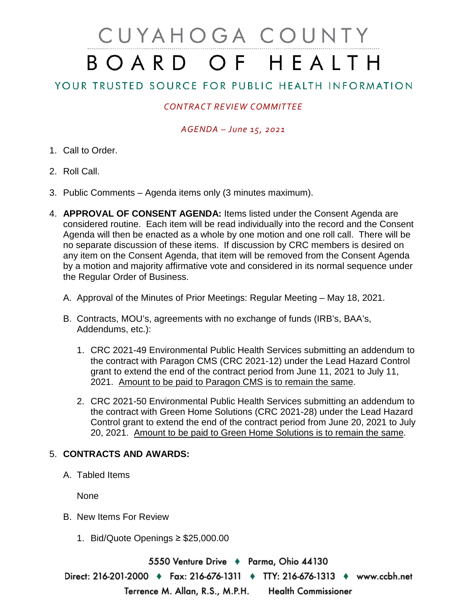# CUYAHOGA COUNTY BOARD OF HEALTH

## YOUR TRUSTED SOURCE FOR PUBLIC HEALTH INFORMATION

## *CONTRACT REVIEW COMMITTEE*

#### *AGENDA – June 15, 2021*

- 1. Call to Order.
- 2. Roll Call.
- 3. Public Comments Agenda items only (3 minutes maximum).
- 4. **APPROVAL OF CONSENT AGENDA:** Items listed under the Consent Agenda are considered routine. Each item will be read individually into the record and the Consent Agenda will then be enacted as a whole by one motion and one roll call. There will be no separate discussion of these items. If discussion by CRC members is desired on any item on the Consent Agenda, that item will be removed from the Consent Agenda by a motion and majority affirmative vote and considered in its normal sequence under the Regular Order of Business.
	- A. Approval of the Minutes of Prior Meetings: Regular Meeting May 18, 2021.
	- B. Contracts, MOU's, agreements with no exchange of funds (IRB's, BAA's, Addendums, etc.):
		- 1. CRC 2021-49 Environmental Public Health Services submitting an addendum to the contract with Paragon CMS (CRC 2021-12) under the Lead Hazard Control grant to extend the end of the contract period from June 11, 2021 to July 11, 2021. Amount to be paid to Paragon CMS is to remain the same.
		- 2. CRC 2021-50 Environmental Public Health Services submitting an addendum to the contract with Green Home Solutions (CRC 2021-28) under the Lead Hazard Control grant to extend the end of the contract period from June 20, 2021 to July 20, 2021. Amount to be paid to Green Home Solutions is to remain the same.

### 5. **CONTRACTS AND AWARDS:**

A. Tabled Items

None

- B. New Items For Review
	- 1. Bid/Quote Openings ≥ \$25,000.00

5550 Venture Drive ♦ Parma, Ohio 44130 Direct: 216-201-2000 ♦ Fax: 216-676-1311 ♦ TTY: 216-676-1313 ♦ www.ccbh.net Terrence M. Allan, R.S., M.P.H. **Health Commissioner**